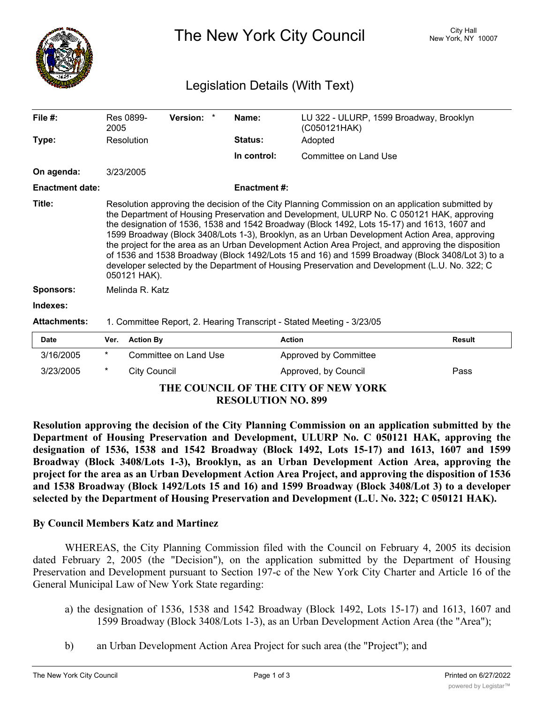

The New York City Council New York, NY 10007

## Legislation Details (With Text)

| File #:                | Res 0899-<br>2005                                                                                                                                                                                                                                                                                                                                                                                                                                                                                                                                                                                                                                                                                                        | Version: |  | Name:               | LU 322 - ULURP, 1599 Broadway, Brooklyn<br>(C050121HAK) |  |  |  |
|------------------------|--------------------------------------------------------------------------------------------------------------------------------------------------------------------------------------------------------------------------------------------------------------------------------------------------------------------------------------------------------------------------------------------------------------------------------------------------------------------------------------------------------------------------------------------------------------------------------------------------------------------------------------------------------------------------------------------------------------------------|----------|--|---------------------|---------------------------------------------------------|--|--|--|
| Type:                  | Resolution                                                                                                                                                                                                                                                                                                                                                                                                                                                                                                                                                                                                                                                                                                               |          |  | <b>Status:</b>      | Adopted                                                 |  |  |  |
|                        |                                                                                                                                                                                                                                                                                                                                                                                                                                                                                                                                                                                                                                                                                                                          |          |  | In control:         | Committee on Land Use                                   |  |  |  |
| On agenda:             | 3/23/2005                                                                                                                                                                                                                                                                                                                                                                                                                                                                                                                                                                                                                                                                                                                |          |  |                     |                                                         |  |  |  |
| <b>Enactment date:</b> |                                                                                                                                                                                                                                                                                                                                                                                                                                                                                                                                                                                                                                                                                                                          |          |  | <b>Enactment #:</b> |                                                         |  |  |  |
| Title:                 | Resolution approving the decision of the City Planning Commission on an application submitted by<br>the Department of Housing Preservation and Development, ULURP No. C 050121 HAK, approving<br>the designation of 1536, 1538 and 1542 Broadway (Block 1492, Lots 15-17) and 1613, 1607 and<br>1599 Broadway (Block 3408/Lots 1-3), Brooklyn, as an Urban Development Action Area, approving<br>the project for the area as an Urban Development Action Area Project, and approving the disposition<br>of 1536 and 1538 Broadway (Block 1492/Lots 15 and 16) and 1599 Broadway (Block 3408/Lot 3) to a<br>developer selected by the Department of Housing Preservation and Development (L.U. No. 322; C<br>050121 HAK). |          |  |                     |                                                         |  |  |  |
| <b>Sponsors:</b>       | Melinda R. Katz                                                                                                                                                                                                                                                                                                                                                                                                                                                                                                                                                                                                                                                                                                          |          |  |                     |                                                         |  |  |  |
| Indexes:               |                                                                                                                                                                                                                                                                                                                                                                                                                                                                                                                                                                                                                                                                                                                          |          |  |                     |                                                         |  |  |  |
| <b>Attachments:</b>    | 1. Committee Report, 2. Hearing Transcript - Stated Meeting - 3/23/05                                                                                                                                                                                                                                                                                                                                                                                                                                                                                                                                                                                                                                                    |          |  |                     |                                                         |  |  |  |
| Date                   | <b>Action By</b><br>Ver.                                                                                                                                                                                                                                                                                                                                                                                                                                                                                                                                                                                                                                                                                                 |          |  | <b>Action</b>       | Result                                                  |  |  |  |

| <b>Date</b>                         |  | Ver. Action By        | Action                | Result |  |  |  |
|-------------------------------------|--|-----------------------|-----------------------|--------|--|--|--|
| 3/16/2005                           |  | Committee on Land Use | Approved by Committee |        |  |  |  |
| 3/23/2005                           |  | City Council          | Approved, by Council  | Pass   |  |  |  |
| THE COUNCIL OF THE CITY OF NEW VORK |  |                       |                       |        |  |  |  |

## **THE COUNCIL OF THE CITY OF NEW YORK RESOLUTION NO. 899**

**Resolution approving the decision of the City Planning Commission on an application submitted by the Department of Housing Preservation and Development, ULURP No. C 050121 HAK, approving the designation of 1536, 1538 and 1542 Broadway (Block 1492, Lots 15-17) and 1613, 1607 and 1599 Broadway (Block 3408/Lots 1-3), Brooklyn, as an Urban Development Action Area, approving the project for the area as an Urban Development Action Area Project, and approving the disposition of 1536 and 1538 Broadway (Block 1492/Lots 15 and 16) and 1599 Broadway (Block 3408/Lot 3) to a developer selected by the Department of Housing Preservation and Development (L.U. No. 322; C 050121 HAK).**

## **By Council Members Katz and Martinez**

WHEREAS, the City Planning Commission filed with the Council on February 4, 2005 its decision dated February 2, 2005 (the "Decision"), on the application submitted by the Department of Housing Preservation and Development pursuant to Section 197-c of the New York City Charter and Article 16 of the General Municipal Law of New York State regarding:

- a) the designation of 1536, 1538 and 1542 Broadway (Block 1492, Lots 15-17) and 1613, 1607 and 1599 Broadway (Block 3408/Lots 1-3), as an Urban Development Action Area (the "Area");
- b) an Urban Development Action Area Project for such area (the "Project"); and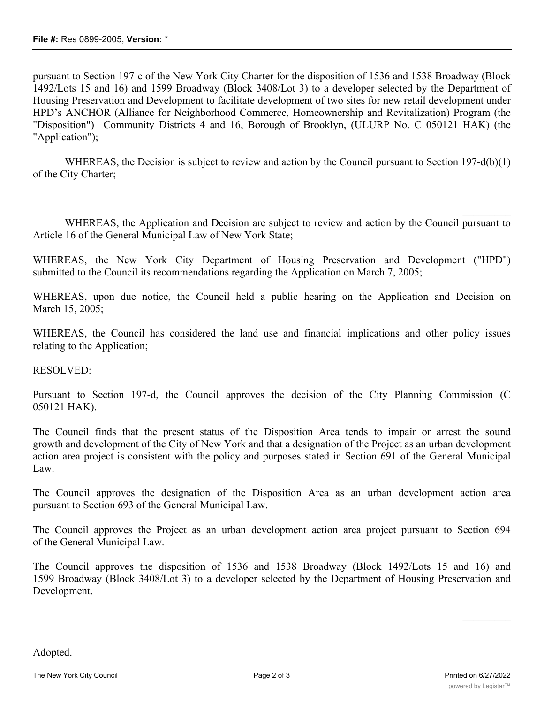pursuant to Section 197-c of the New York City Charter for the disposition of 1536 and 1538 Broadway (Block 1492/Lots 15 and 16) and 1599 Broadway (Block 3408/Lot 3) to a developer selected by the Department of Housing Preservation and Development to facilitate development of two sites for new retail development under HPD's ANCHOR (Alliance for Neighborhood Commerce, Homeownership and Revitalization) Program (the "Disposition") Community Districts 4 and 16, Borough of Brooklyn, (ULURP No. C 050121 HAK) (the "Application");

WHEREAS, the Decision is subject to review and action by the Council pursuant to Section 197-d(b)(1) of the City Charter;

WHEREAS, the Application and Decision are subject to review and action by the Council pursuant to Article 16 of the General Municipal Law of New York State;

WHEREAS, the New York City Department of Housing Preservation and Development ("HPD") submitted to the Council its recommendations regarding the Application on March 7, 2005;

WHEREAS, upon due notice, the Council held a public hearing on the Application and Decision on March 15, 2005;

WHEREAS, the Council has considered the land use and financial implications and other policy issues relating to the Application;

RESOLVED:

Pursuant to Section 197-d, the Council approves the decision of the City Planning Commission (C 050121 HAK).

The Council finds that the present status of the Disposition Area tends to impair or arrest the sound growth and development of the City of New York and that a designation of the Project as an urban development action area project is consistent with the policy and purposes stated in Section 691 of the General Municipal Law.

The Council approves the designation of the Disposition Area as an urban development action area pursuant to Section 693 of the General Municipal Law.

The Council approves the Project as an urban development action area project pursuant to Section 694 of the General Municipal Law.

The Council approves the disposition of 1536 and 1538 Broadway (Block 1492/Lots 15 and 16) and 1599 Broadway (Block 3408/Lot 3) to a developer selected by the Department of Housing Preservation and Development.

Adopted.

 $\frac{1}{2}$